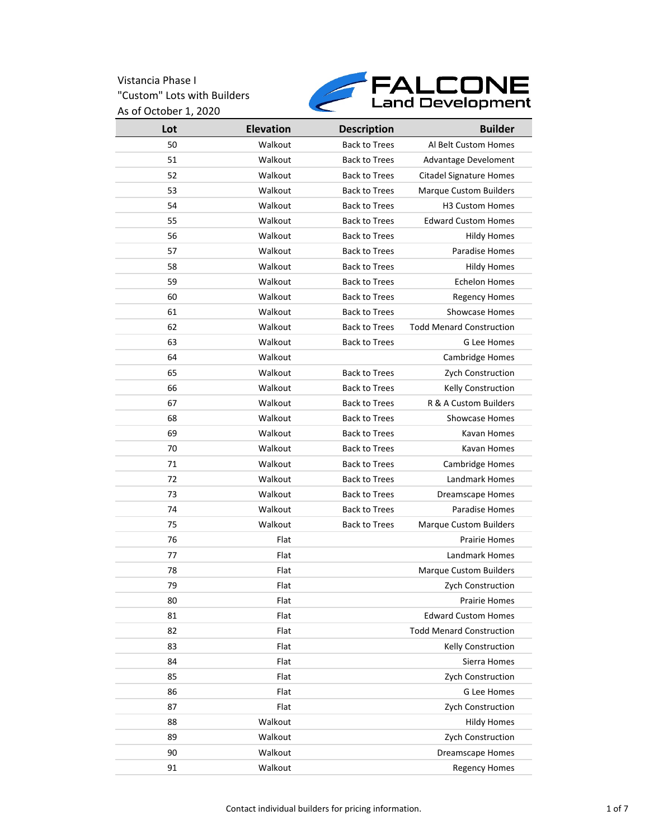

| Lot | <b>Elevation</b> | <b>Description</b>   | <b>Builder</b>                  |
|-----|------------------|----------------------|---------------------------------|
| 50  | Walkout          | <b>Back to Trees</b> | Al Belt Custom Homes            |
| 51  | Walkout          | <b>Back to Trees</b> | Advantage Develoment            |
| 52  | Walkout          | <b>Back to Trees</b> | <b>Citadel Signature Homes</b>  |
| 53  | Walkout          | <b>Back to Trees</b> | <b>Marque Custom Builders</b>   |
| 54  | Walkout          | <b>Back to Trees</b> | <b>H3 Custom Homes</b>          |
| 55  | Walkout          | <b>Back to Trees</b> | <b>Edward Custom Homes</b>      |
| 56  | Walkout          | <b>Back to Trees</b> | <b>Hildy Homes</b>              |
| 57  | Walkout          | <b>Back to Trees</b> | Paradise Homes                  |
| 58  | Walkout          | <b>Back to Trees</b> | <b>Hildy Homes</b>              |
| 59  | Walkout          | <b>Back to Trees</b> | <b>Echelon Homes</b>            |
| 60  | Walkout          | <b>Back to Trees</b> | <b>Regency Homes</b>            |
| 61  | Walkout          | <b>Back to Trees</b> | <b>Showcase Homes</b>           |
| 62  | Walkout          | <b>Back to Trees</b> | <b>Todd Menard Construction</b> |
| 63  | Walkout          | <b>Back to Trees</b> | G Lee Homes                     |
| 64  | Walkout          |                      | Cambridge Homes                 |
| 65  | Walkout          | <b>Back to Trees</b> | Zych Construction               |
| 66  | Walkout          | <b>Back to Trees</b> | Kelly Construction              |
| 67  | Walkout          | <b>Back to Trees</b> | R & A Custom Builders           |
| 68  | Walkout          | <b>Back to Trees</b> | <b>Showcase Homes</b>           |
| 69  | Walkout          | <b>Back to Trees</b> | Kavan Homes                     |
| 70  | Walkout          | <b>Back to Trees</b> | Kavan Homes                     |
| 71  | Walkout          | <b>Back to Trees</b> | Cambridge Homes                 |
| 72  | Walkout          | <b>Back to Trees</b> | Landmark Homes                  |
| 73  | Walkout          | <b>Back to Trees</b> | <b>Dreamscape Homes</b>         |
| 74  | Walkout          | <b>Back to Trees</b> | Paradise Homes                  |
| 75  | Walkout          | <b>Back to Trees</b> | <b>Marque Custom Builders</b>   |
| 76  | Flat             |                      | <b>Prairie Homes</b>            |
| 77  | Flat             |                      | <b>Landmark Homes</b>           |
| 78  | Flat             |                      | <b>Marque Custom Builders</b>   |
| 79  | Flat             |                      | Zych Construction               |
| 80  | Flat             |                      | Prairie Homes                   |
| 81  | Flat             |                      | <b>Edward Custom Homes</b>      |
| 82  | Flat             |                      | <b>Todd Menard Construction</b> |
| 83  | Flat             |                      | <b>Kelly Construction</b>       |
| 84  | Flat             |                      | Sierra Homes                    |
| 85  | Flat             |                      | Zych Construction               |
| 86  | Flat             |                      | G Lee Homes                     |
| 87  | Flat             |                      | Zych Construction               |
| 88  | Walkout          |                      | <b>Hildy Homes</b>              |
| 89  | Walkout          |                      | Zych Construction               |
| 90  | Walkout          |                      | <b>Dreamscape Homes</b>         |
| 91  | Walkout          |                      | <b>Regency Homes</b>            |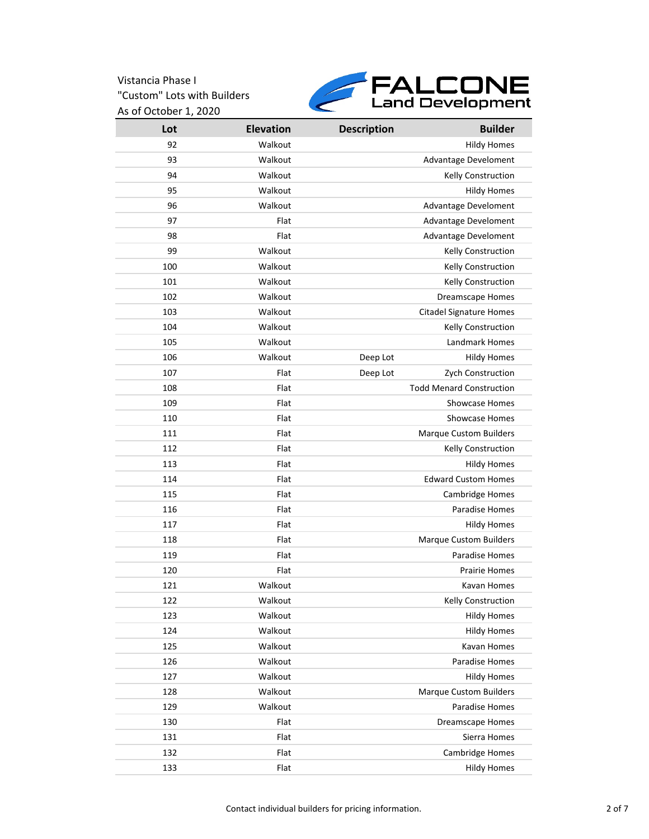

| Lot | <b>Elevation</b> | <b>Description</b> | <b>Builder</b>                  |
|-----|------------------|--------------------|---------------------------------|
| 92  | Walkout          |                    | <b>Hildy Homes</b>              |
| 93  | Walkout          |                    | Advantage Develoment            |
| 94  | Walkout          |                    | Kelly Construction              |
| 95  | Walkout          |                    | <b>Hildy Homes</b>              |
| 96  | Walkout          |                    | Advantage Develoment            |
| 97  | Flat             |                    | Advantage Develoment            |
| 98  | Flat             |                    | Advantage Develoment            |
| 99  | Walkout          |                    | Kelly Construction              |
| 100 | Walkout          |                    | Kelly Construction              |
| 101 | Walkout          |                    | <b>Kelly Construction</b>       |
| 102 | Walkout          |                    | <b>Dreamscape Homes</b>         |
| 103 | Walkout          |                    | <b>Citadel Signature Homes</b>  |
| 104 | Walkout          |                    | Kelly Construction              |
| 105 | Walkout          |                    | Landmark Homes                  |
| 106 | Walkout          | Deep Lot           | <b>Hildy Homes</b>              |
| 107 | Flat             | Deep Lot           | Zych Construction               |
| 108 | Flat             |                    | <b>Todd Menard Construction</b> |
| 109 | Flat             |                    | Showcase Homes                  |
| 110 | Flat             |                    | <b>Showcase Homes</b>           |
| 111 | Flat             |                    | <b>Marque Custom Builders</b>   |
| 112 | Flat             |                    | Kelly Construction              |
| 113 | Flat             |                    | <b>Hildy Homes</b>              |
| 114 | Flat             |                    | <b>Edward Custom Homes</b>      |
| 115 | Flat             |                    | Cambridge Homes                 |
| 116 | Flat             |                    | Paradise Homes                  |
| 117 | Flat             |                    | <b>Hildy Homes</b>              |
| 118 | Flat             |                    | <b>Marque Custom Builders</b>   |
| 119 | Flat             |                    | Paradise Homes                  |
| 120 | Flat             |                    | <b>Prairie Homes</b>            |
| 121 | Walkout          |                    | Kavan Homes                     |
| 122 | Walkout          |                    | <b>Kelly Construction</b>       |
| 123 | Walkout          |                    | <b>Hildy Homes</b>              |
| 124 | Walkout          |                    | <b>Hildy Homes</b>              |
| 125 | Walkout          |                    | Kavan Homes                     |
| 126 | Walkout          |                    | Paradise Homes                  |
| 127 | Walkout          |                    | <b>Hildy Homes</b>              |
| 128 | Walkout          |                    | <b>Marque Custom Builders</b>   |
| 129 | Walkout          |                    | Paradise Homes                  |
| 130 | Flat             |                    | <b>Dreamscape Homes</b>         |
| 131 | Flat             |                    | Sierra Homes                    |
| 132 | Flat             |                    | Cambridge Homes                 |
| 133 | Flat             |                    | <b>Hildy Homes</b>              |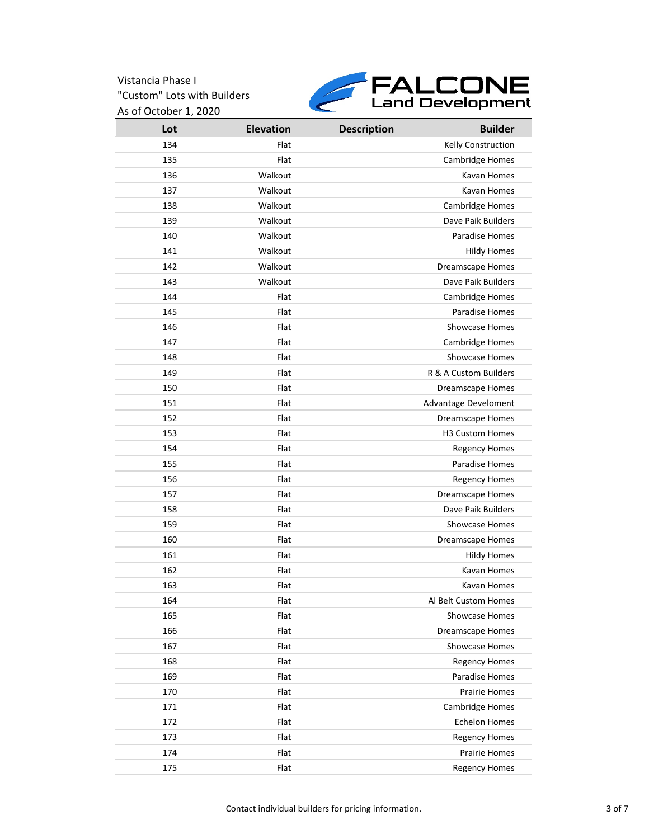

| Lot | <b>Elevation</b> | <b>Description</b> | <b>Builder</b>              |
|-----|------------------|--------------------|-----------------------------|
| 134 | Flat             |                    | Kelly Construction          |
| 135 | Flat             |                    | <b>Cambridge Homes</b>      |
| 136 | Walkout          |                    | Kavan Homes                 |
| 137 | Walkout          |                    | Kavan Homes                 |
| 138 | Walkout          |                    | Cambridge Homes             |
| 139 | Walkout          |                    | Dave Paik Builders          |
| 140 | Walkout          |                    | <b>Paradise Homes</b>       |
| 141 | Walkout          |                    | <b>Hildy Homes</b>          |
| 142 | Walkout          |                    | <b>Dreamscape Homes</b>     |
| 143 | Walkout          |                    | Dave Paik Builders          |
| 144 | Flat             |                    | Cambridge Homes             |
| 145 | Flat             |                    | Paradise Homes              |
| 146 | Flat             |                    | Showcase Homes              |
| 147 | Flat             |                    | <b>Cambridge Homes</b>      |
| 148 | Flat             |                    | <b>Showcase Homes</b>       |
| 149 | Flat             |                    | R & A Custom Builders       |
| 150 | Flat             |                    | <b>Dreamscape Homes</b>     |
| 151 | Flat             |                    | <b>Advantage Develoment</b> |
| 152 | Flat             |                    | <b>Dreamscape Homes</b>     |
| 153 | Flat             |                    | H3 Custom Homes             |
| 154 | Flat             |                    | <b>Regency Homes</b>        |
| 155 | Flat             |                    | Paradise Homes              |
| 156 | Flat             |                    | <b>Regency Homes</b>        |
| 157 | Flat             |                    | Dreamscape Homes            |
| 158 | Flat             |                    | Dave Paik Builders          |
| 159 | Flat             |                    | <b>Showcase Homes</b>       |
| 160 | Flat             |                    | <b>Dreamscape Homes</b>     |
| 161 | Flat             |                    | <b>Hildy Homes</b>          |
| 162 | Flat             |                    | Kavan Homes                 |
| 163 | Flat             |                    | Kavan Homes                 |
| 164 | Flat             |                    | Al Belt Custom Homes        |
| 165 | Flat             |                    | <b>Showcase Homes</b>       |
| 166 | Flat             |                    | <b>Dreamscape Homes</b>     |
| 167 | Flat             |                    | Showcase Homes              |
| 168 | Flat             |                    | <b>Regency Homes</b>        |
| 169 | Flat             |                    | Paradise Homes              |
| 170 | Flat             |                    | <b>Prairie Homes</b>        |
| 171 | Flat             |                    | Cambridge Homes             |
| 172 | Flat             |                    | <b>Echelon Homes</b>        |
| 173 | Flat             |                    | <b>Regency Homes</b>        |
| 174 | Flat             |                    | Prairie Homes               |
| 175 | Flat             |                    | <b>Regency Homes</b>        |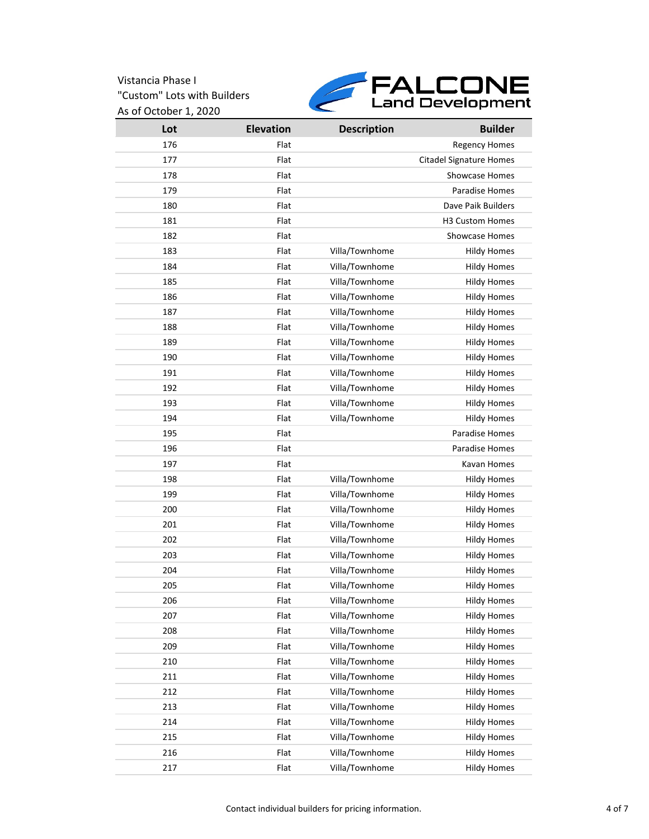

| Lot | <b>Elevation</b> | <b>Description</b> | <b>Builder</b>                 |
|-----|------------------|--------------------|--------------------------------|
| 176 | Flat             |                    | <b>Regency Homes</b>           |
| 177 | Flat             |                    | <b>Citadel Signature Homes</b> |
| 178 | Flat             |                    | <b>Showcase Homes</b>          |
| 179 | Flat             |                    | Paradise Homes                 |
| 180 | Flat             |                    | Dave Paik Builders             |
| 181 | Flat             |                    | <b>H3 Custom Homes</b>         |
| 182 | Flat             |                    | <b>Showcase Homes</b>          |
| 183 | Flat             | Villa/Townhome     | <b>Hildy Homes</b>             |
| 184 | Flat             | Villa/Townhome     | <b>Hildy Homes</b>             |
| 185 | Flat             | Villa/Townhome     | <b>Hildy Homes</b>             |
| 186 | Flat             | Villa/Townhome     | <b>Hildy Homes</b>             |
| 187 | Flat             | Villa/Townhome     | <b>Hildy Homes</b>             |
| 188 | Flat             | Villa/Townhome     | <b>Hildy Homes</b>             |
| 189 | Flat             | Villa/Townhome     | <b>Hildy Homes</b>             |
| 190 | Flat             | Villa/Townhome     | <b>Hildy Homes</b>             |
| 191 | Flat             | Villa/Townhome     | <b>Hildy Homes</b>             |
| 192 | Flat             | Villa/Townhome     | <b>Hildy Homes</b>             |
| 193 | Flat             | Villa/Townhome     | <b>Hildy Homes</b>             |
| 194 | Flat             | Villa/Townhome     | <b>Hildy Homes</b>             |
| 195 | Flat             |                    | Paradise Homes                 |
| 196 | Flat             |                    | Paradise Homes                 |
| 197 | Flat             |                    | Kavan Homes                    |
| 198 | Flat             | Villa/Townhome     | <b>Hildy Homes</b>             |
| 199 | Flat             | Villa/Townhome     | <b>Hildy Homes</b>             |
| 200 | Flat             | Villa/Townhome     | <b>Hildy Homes</b>             |
| 201 | Flat             | Villa/Townhome     | <b>Hildy Homes</b>             |
| 202 | Flat             | Villa/Townhome     | <b>Hildy Homes</b>             |
| 203 | Flat             | Villa/Townhome     | <b>Hildy Homes</b>             |
| 204 | Flat             | Villa/Townhome     | <b>Hildy Homes</b>             |
| 205 | Flat             | Villa/Townhome     | <b>Hildy Homes</b>             |
| 206 | Flat             | Villa/Townhome     | Hildy Homes                    |
| 207 | Flat             | Villa/Townhome     | <b>Hildy Homes</b>             |
| 208 | Flat             | Villa/Townhome     | <b>Hildy Homes</b>             |
| 209 | Flat             | Villa/Townhome     | <b>Hildy Homes</b>             |
| 210 | Flat             | Villa/Townhome     | <b>Hildy Homes</b>             |
| 211 | Flat             | Villa/Townhome     | <b>Hildy Homes</b>             |
| 212 | Flat             | Villa/Townhome     | <b>Hildy Homes</b>             |
| 213 | Flat             | Villa/Townhome     | <b>Hildy Homes</b>             |
| 214 | Flat             | Villa/Townhome     | <b>Hildy Homes</b>             |
| 215 | Flat             | Villa/Townhome     | <b>Hildy Homes</b>             |
| 216 | Flat             | Villa/Townhome     | <b>Hildy Homes</b>             |
| 217 | Flat             | Villa/Townhome     | <b>Hildy Homes</b>             |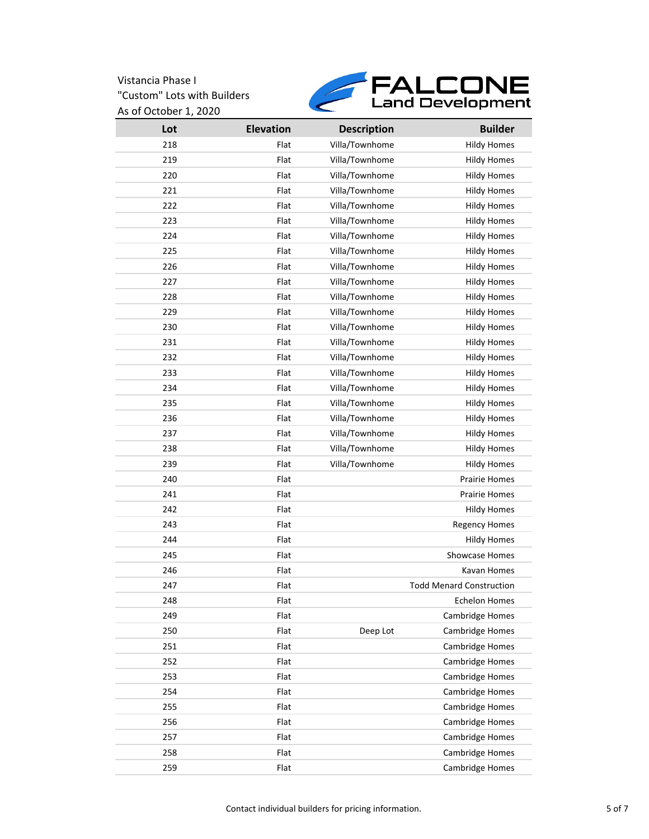

| Lot | <b>Elevation</b> | <b>Description</b> | <b>Builder</b>                  |
|-----|------------------|--------------------|---------------------------------|
| 218 | Flat             | Villa/Townhome     | <b>Hildy Homes</b>              |
| 219 | Flat             | Villa/Townhome     | <b>Hildy Homes</b>              |
| 220 | Flat             | Villa/Townhome     | <b>Hildy Homes</b>              |
| 221 | Flat             | Villa/Townhome     | <b>Hildy Homes</b>              |
| 222 | Flat             | Villa/Townhome     | <b>Hildy Homes</b>              |
| 223 | Flat             | Villa/Townhome     | <b>Hildy Homes</b>              |
| 224 | Flat             | Villa/Townhome     | <b>Hildy Homes</b>              |
| 225 | Flat             | Villa/Townhome     | <b>Hildy Homes</b>              |
| 226 | Flat             | Villa/Townhome     | <b>Hildy Homes</b>              |
| 227 | Flat             | Villa/Townhome     | <b>Hildy Homes</b>              |
| 228 | Flat             | Villa/Townhome     | <b>Hildy Homes</b>              |
| 229 | Flat             | Villa/Townhome     | <b>Hildy Homes</b>              |
| 230 | Flat             | Villa/Townhome     | <b>Hildy Homes</b>              |
| 231 | Flat             | Villa/Townhome     | <b>Hildy Homes</b>              |
| 232 | Flat             | Villa/Townhome     | <b>Hildy Homes</b>              |
| 233 | Flat             | Villa/Townhome     | <b>Hildy Homes</b>              |
| 234 | Flat             | Villa/Townhome     | <b>Hildy Homes</b>              |
| 235 | Flat             | Villa/Townhome     | <b>Hildy Homes</b>              |
| 236 | Flat             | Villa/Townhome     | <b>Hildy Homes</b>              |
| 237 | Flat             | Villa/Townhome     | <b>Hildy Homes</b>              |
| 238 | Flat             | Villa/Townhome     | <b>Hildy Homes</b>              |
| 239 | Flat             | Villa/Townhome     | <b>Hildy Homes</b>              |
| 240 | Flat             |                    | <b>Prairie Homes</b>            |
| 241 | Flat             |                    | <b>Prairie Homes</b>            |
| 242 | Flat             |                    | <b>Hildy Homes</b>              |
| 243 | Flat             |                    | <b>Regency Homes</b>            |
| 244 | Flat             |                    | <b>Hildy Homes</b>              |
| 245 | Flat             |                    | <b>Showcase Homes</b>           |
| 246 | Flat             |                    | Kavan Homes                     |
| 247 | Flat             |                    | <b>Todd Menard Construction</b> |
| 248 | Flat             |                    | <b>Echelon Homes</b>            |
| 249 | Flat             |                    | Cambridge Homes                 |
| 250 | Flat             | Deep Lot           | Cambridge Homes                 |
| 251 | Flat             |                    | Cambridge Homes                 |
| 252 | Flat             |                    | Cambridge Homes                 |
| 253 | Flat             |                    | Cambridge Homes                 |
| 254 | Flat             |                    | Cambridge Homes                 |
| 255 | Flat             |                    | Cambridge Homes                 |
| 256 | Flat             |                    | Cambridge Homes                 |
| 257 | Flat             |                    | Cambridge Homes                 |
| 258 | Flat             |                    | Cambridge Homes                 |
| 259 | Flat             |                    | Cambridge Homes                 |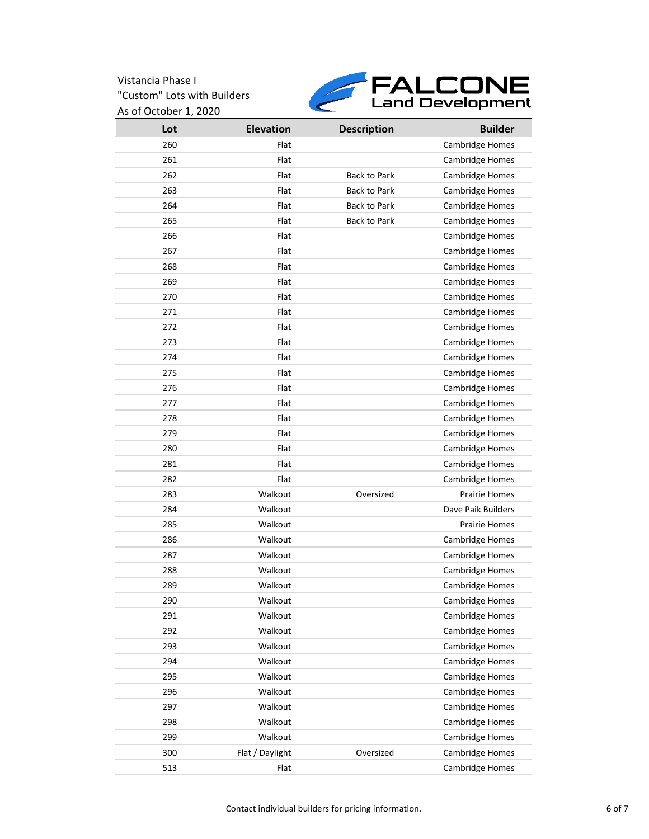

| Lot | <b>Elevation</b> | <b>Description</b>  | <b>Builder</b>       |
|-----|------------------|---------------------|----------------------|
| 260 | Flat             |                     | Cambridge Homes      |
| 261 | Flat             |                     | Cambridge Homes      |
| 262 | Flat             | <b>Back to Park</b> | Cambridge Homes      |
| 263 | Flat             | <b>Back to Park</b> | Cambridge Homes      |
| 264 | Flat             | <b>Back to Park</b> | Cambridge Homes      |
| 265 | Flat             | <b>Back to Park</b> | Cambridge Homes      |
| 266 | Flat             |                     | Cambridge Homes      |
| 267 | Flat             |                     | Cambridge Homes      |
| 268 | Flat             |                     | Cambridge Homes      |
| 269 | Flat             |                     | Cambridge Homes      |
| 270 | Flat             |                     | Cambridge Homes      |
| 271 | Flat             |                     | Cambridge Homes      |
| 272 | Flat             |                     | Cambridge Homes      |
| 273 | Flat             |                     | Cambridge Homes      |
| 274 | Flat             |                     | Cambridge Homes      |
| 275 | Flat             |                     | Cambridge Homes      |
| 276 | Flat             |                     | Cambridge Homes      |
| 277 | Flat             |                     | Cambridge Homes      |
| 278 | Flat             |                     | Cambridge Homes      |
| 279 | Flat             |                     | Cambridge Homes      |
| 280 | Flat             |                     | Cambridge Homes      |
| 281 | Flat             |                     | Cambridge Homes      |
| 282 | Flat             |                     | Cambridge Homes      |
| 283 | Walkout          | Oversized           | <b>Prairie Homes</b> |
| 284 | Walkout          |                     | Dave Paik Builders   |
| 285 | Walkout          |                     | <b>Prairie Homes</b> |
| 286 | Walkout          |                     | Cambridge Homes      |
| 287 | Walkout          |                     | Cambridge Homes      |
| 288 | Walkout          |                     | Cambridge Homes      |
| 289 | Walkout          |                     | Cambridge Homes      |
| 290 | Walkout          |                     | Cambridge Homes      |
| 291 | Walkout          |                     | Cambridge Homes      |
| 292 | Walkout          |                     | Cambridge Homes      |
| 293 | Walkout          |                     | Cambridge Homes      |
| 294 | Walkout          |                     | Cambridge Homes      |
| 295 | Walkout          |                     | Cambridge Homes      |
| 296 | Walkout          |                     | Cambridge Homes      |
| 297 | Walkout          |                     | Cambridge Homes      |
| 298 | Walkout          |                     | Cambridge Homes      |
| 299 | Walkout          |                     | Cambridge Homes      |
| 300 | Flat / Daylight  | Oversized           | Cambridge Homes      |
| 513 | Flat             |                     | Cambridge Homes      |